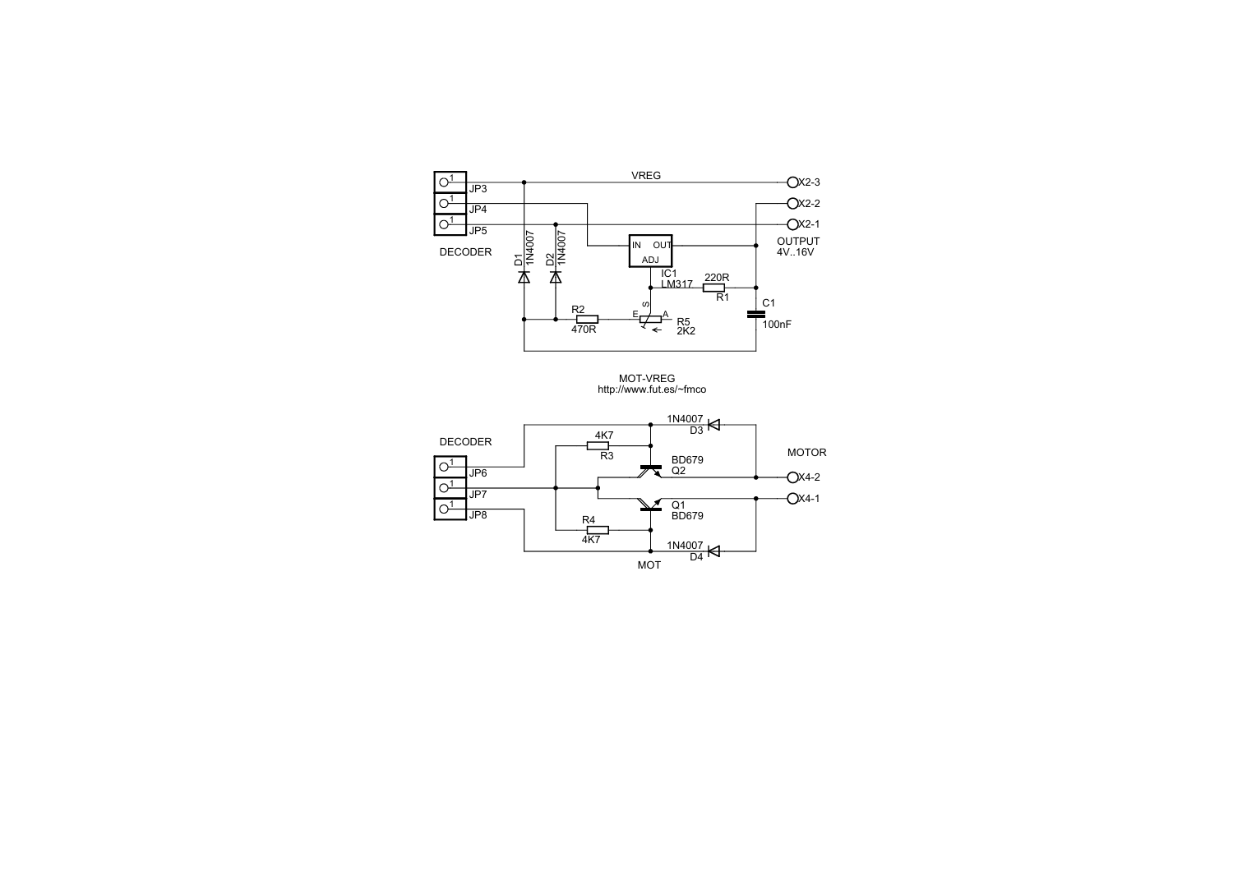

MOT-VREG http://www.fut.es/~fmco

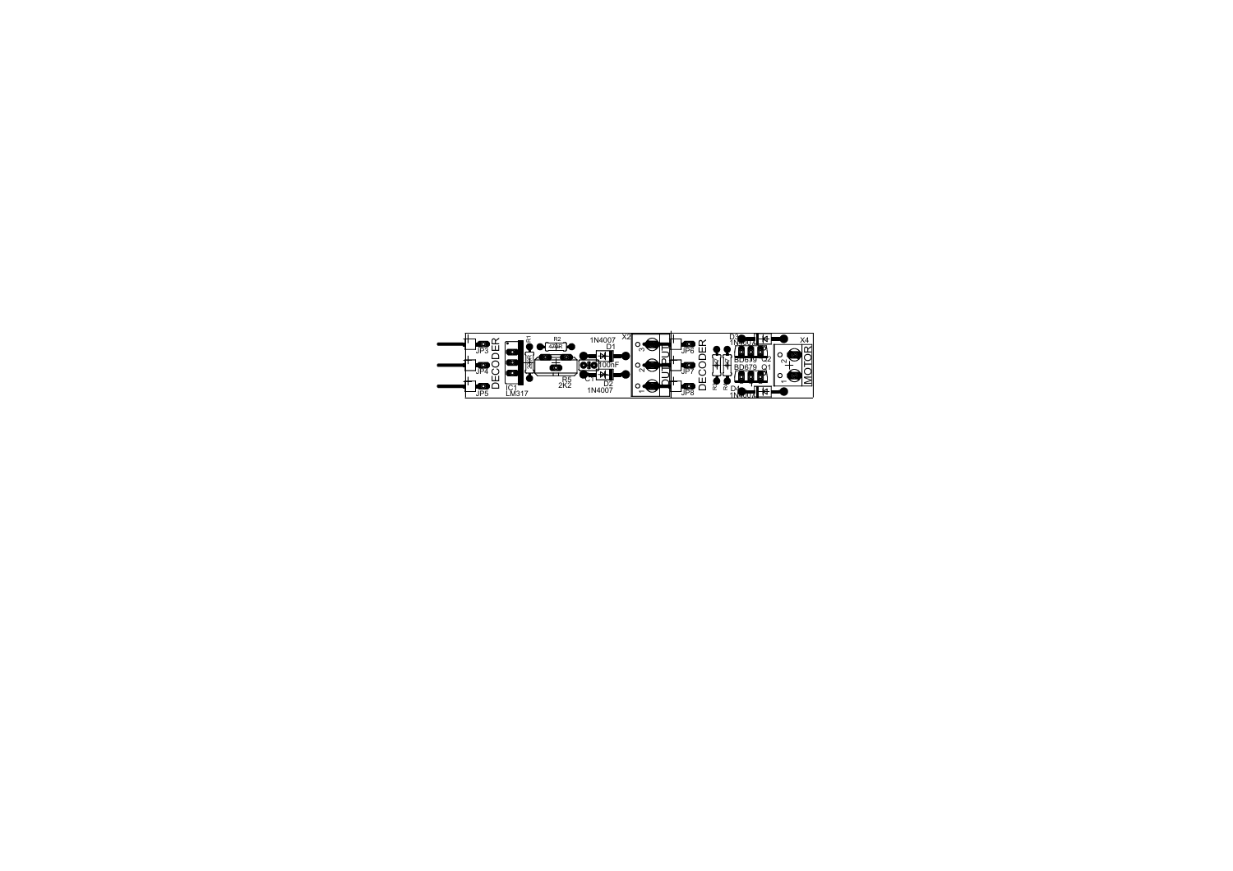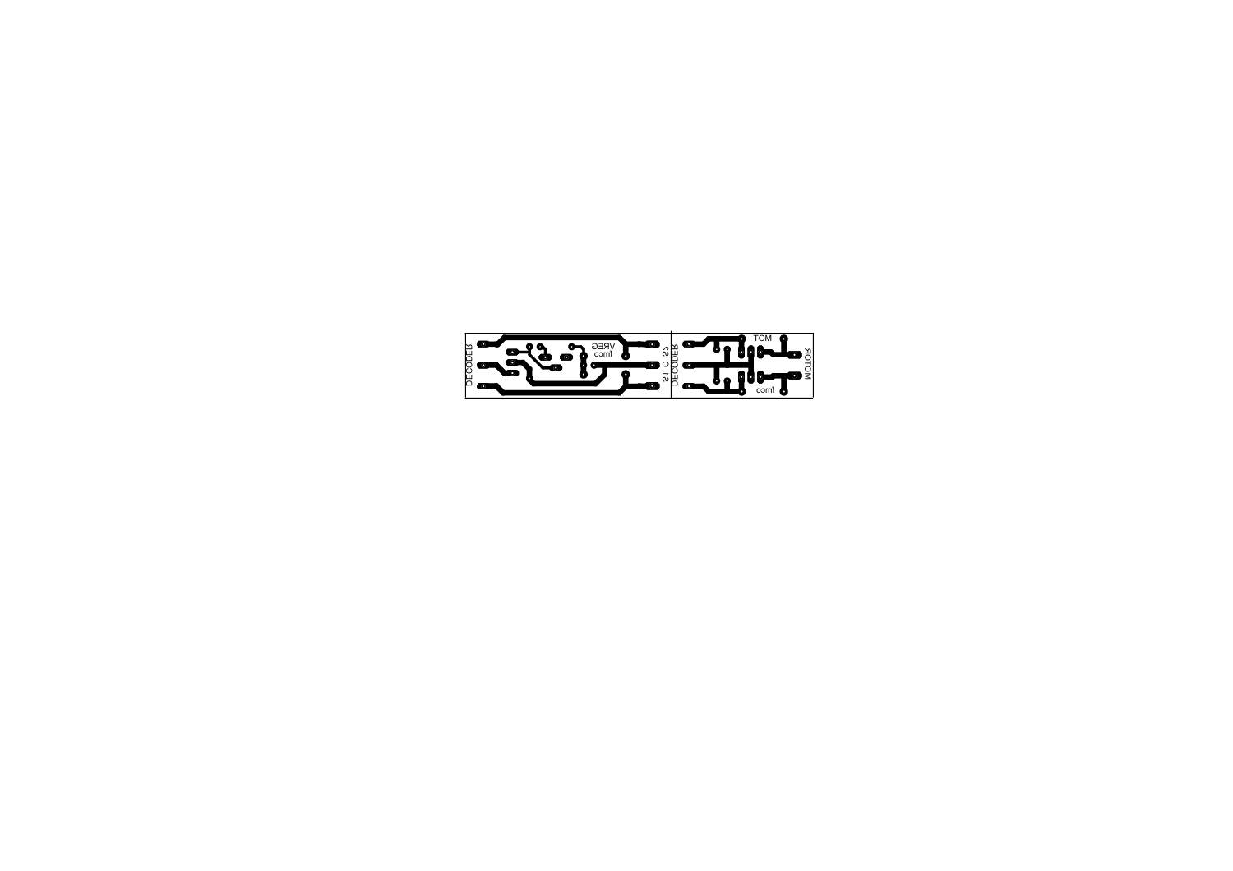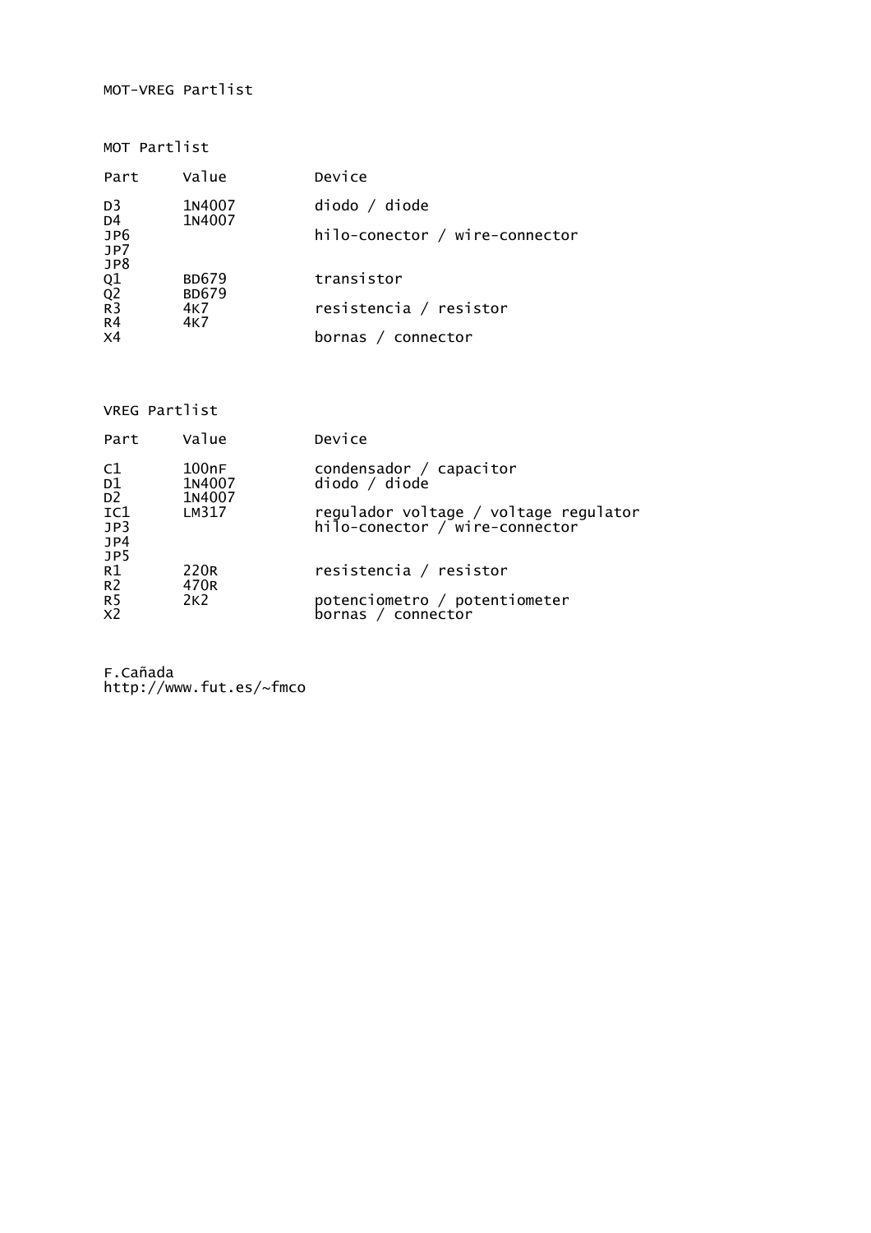## MOT-VREG Partlist

MOT Partlist

| Part                                                  | Value                        | Device                         |
|-------------------------------------------------------|------------------------------|--------------------------------|
| D <sub>3</sub><br>D <sub>4</sub><br>JP6<br>JP7<br>JP8 | 1N4007<br>1N4007             | diodo / diode                  |
|                                                       |                              | hilo-conector / wire-connector |
| Q1<br>Q2<br>R3                                        | <b>BD679</b><br><b>BD679</b> | transistor                     |
| R <sub>4</sub>                                        | 4K7<br>4K7                   | resistencia / resistor         |
| X <sub>4</sub>                                        |                              | bornas / connector             |

VREG Partlist

| Part                             | Value                     | Device                                                                  |
|----------------------------------|---------------------------|-------------------------------------------------------------------------|
| C1<br>D1<br>D <sub>2</sub>       | 100nF<br>1N4007<br>1N4007 | condensador / capacitor<br>diodo / diode                                |
| IC1<br>JP3<br>JP4<br>JP5         | LM317                     | regulador voltage / voltage regulator<br>hilo-conector / wire-connector |
| R1<br>R <sub>2</sub>             | 220R<br>470 <sub>R</sub>  | resistencia / resistor                                                  |
| R <sub>5</sub><br>X <sub>2</sub> | 2K <sub>2</sub>           | potenciometro / potentiometer<br>bornas / connector                     |

F.Cañada http://www.fut.es/~fmco